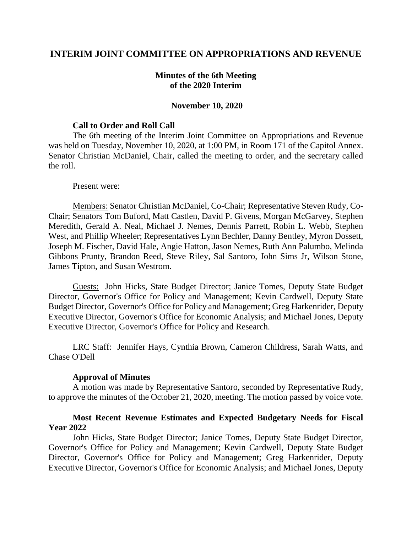# **INTERIM JOINT COMMITTEE ON APPROPRIATIONS AND REVENUE**

# **Minutes of the 6th Meeting of the 2020 Interim**

### **November 10, 2020**

### **Call to Order and Roll Call**

The 6th meeting of the Interim Joint Committee on Appropriations and Revenue was held on Tuesday, November 10, 2020, at 1:00 PM, in Room 171 of the Capitol Annex. Senator Christian McDaniel, Chair, called the meeting to order, and the secretary called the roll.

#### Present were:

Members: Senator Christian McDaniel, Co-Chair; Representative Steven Rudy, Co-Chair; Senators Tom Buford, Matt Castlen, David P. Givens, Morgan McGarvey, Stephen Meredith, Gerald A. Neal, Michael J. Nemes, Dennis Parrett, Robin L. Webb, Stephen West, and Phillip Wheeler; Representatives Lynn Bechler, Danny Bentley, Myron Dossett, Joseph M. Fischer, David Hale, Angie Hatton, Jason Nemes, Ruth Ann Palumbo, Melinda Gibbons Prunty, Brandon Reed, Steve Riley, Sal Santoro, John Sims Jr, Wilson Stone, James Tipton, and Susan Westrom.

Guests: John Hicks, State Budget Director; Janice Tomes, Deputy State Budget Director, Governor's Office for Policy and Management; Kevin Cardwell, Deputy State Budget Director, Governor's Office for Policy and Management; Greg Harkenrider, Deputy Executive Director, Governor's Office for Economic Analysis; and Michael Jones, Deputy Executive Director, Governor's Office for Policy and Research.

LRC Staff: Jennifer Hays, Cynthia Brown, Cameron Childress, Sarah Watts, and Chase O'Dell

#### **Approval of Minutes**

A motion was made by Representative Santoro, seconded by Representative Rudy, to approve the minutes of the October 21, 2020, meeting. The motion passed by voice vote.

## **Most Recent Revenue Estimates and Expected Budgetary Needs for Fiscal Year 2022**

John Hicks, State Budget Director; Janice Tomes, Deputy State Budget Director, Governor's Office for Policy and Management; Kevin Cardwell, Deputy State Budget Director, Governor's Office for Policy and Management; Greg Harkenrider, Deputy Executive Director, Governor's Office for Economic Analysis; and Michael Jones, Deputy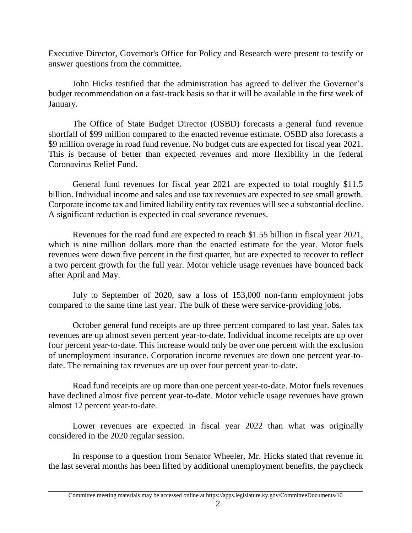Executive Director, Governor's Office for Policy and Research were present to testify or answer questions from the committee.

John Hicks testified that the administration has agreed to deliver the Governor's budget recommendation on a fast-track basis so that it will be available in the first week of January.

The Office of State Budget Director (OSBD) forecasts a general fund revenue shortfall of \$99 million compared to the enacted revenue estimate. OSBD also forecasts a \$9 million overage in road fund revenue. No budget cuts are expected for fiscal year 2021. This is because of better than expected revenues and more flexibility in the federal Coronavirus Relief Fund.

General fund revenues for fiscal year 2021 are expected to total roughly \$11.5 billion. Individual income and sales and use tax revenues are expected to see small growth. Corporate income tax and limited liability entity tax revenues will see a substantial decline. A significant reduction is expected in coal severance revenues.

Revenues for the road fund are expected to reach \$1.55 billion in fiscal year 2021, which is nine million dollars more than the enacted estimate for the year. Motor fuels revenues were down five percent in the first quarter, but are expected to recover to reflect a two percent growth for the full year. Motor vehicle usage revenues have bounced back after April and May.

July to September of 2020, saw a loss of 153,000 non-farm employment jobs compared to the same time last year. The bulk of these were service-providing jobs.

October general fund receipts are up three percent compared to last year. Sales tax revenues are up almost seven percent year-to-date. Individual income receipts are up over four percent year-to-date. This increase would only be over one percent with the exclusion of unemployment insurance. Corporation income revenues are down one percent year-todate. The remaining tax revenues are up over four percent year-to-date.

Road fund receipts are up more than one percent year-to-date. Motor fuels revenues have declined almost five percent year-to-date. Motor vehicle usage revenues have grown almost 12 percent year-to-date.

Lower revenues are expected in fiscal year 2022 than what was originally considered in the 2020 regular session.

In response to a question from Senator Wheeler, Mr. Hicks stated that revenue in the last several months has been lifted by additional unemployment benefits, the paycheck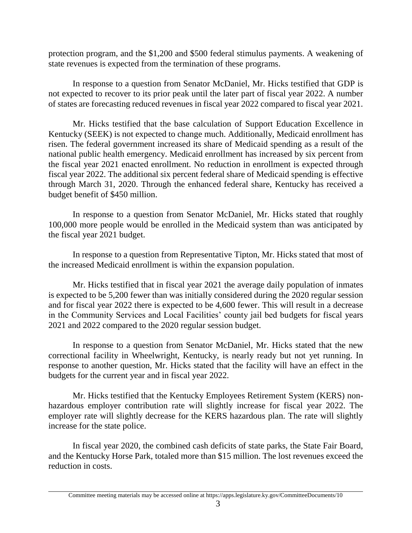protection program, and the \$1,200 and \$500 federal stimulus payments. A weakening of state revenues is expected from the termination of these programs.

In response to a question from Senator McDaniel, Mr. Hicks testified that GDP is not expected to recover to its prior peak until the later part of fiscal year 2022. A number of states are forecasting reduced revenues in fiscal year 2022 compared to fiscal year 2021.

Mr. Hicks testified that the base calculation of Support Education Excellence in Kentucky (SEEK) is not expected to change much. Additionally, Medicaid enrollment has risen. The federal government increased its share of Medicaid spending as a result of the national public health emergency. Medicaid enrollment has increased by six percent from the fiscal year 2021 enacted enrollment. No reduction in enrollment is expected through fiscal year 2022. The additional six percent federal share of Medicaid spending is effective through March 31, 2020. Through the enhanced federal share, Kentucky has received a budget benefit of \$450 million.

In response to a question from Senator McDaniel, Mr. Hicks stated that roughly 100,000 more people would be enrolled in the Medicaid system than was anticipated by the fiscal year 2021 budget.

In response to a question from Representative Tipton, Mr. Hicks stated that most of the increased Medicaid enrollment is within the expansion population.

Mr. Hicks testified that in fiscal year 2021 the average daily population of inmates is expected to be 5,200 fewer than was initially considered during the 2020 regular session and for fiscal year 2022 there is expected to be 4,600 fewer. This will result in a decrease in the Community Services and Local Facilities' county jail bed budgets for fiscal years 2021 and 2022 compared to the 2020 regular session budget.

In response to a question from Senator McDaniel, Mr. Hicks stated that the new correctional facility in Wheelwright, Kentucky, is nearly ready but not yet running. In response to another question, Mr. Hicks stated that the facility will have an effect in the budgets for the current year and in fiscal year 2022.

Mr. Hicks testified that the Kentucky Employees Retirement System (KERS) nonhazardous employer contribution rate will slightly increase for fiscal year 2022. The employer rate will slightly decrease for the KERS hazardous plan. The rate will slightly increase for the state police.

In fiscal year 2020, the combined cash deficits of state parks, the State Fair Board, and the Kentucky Horse Park, totaled more than \$15 million. The lost revenues exceed the reduction in costs.

Committee meeting materials may be accessed online at https://apps.legislature.ky.gov/CommitteeDocuments/10